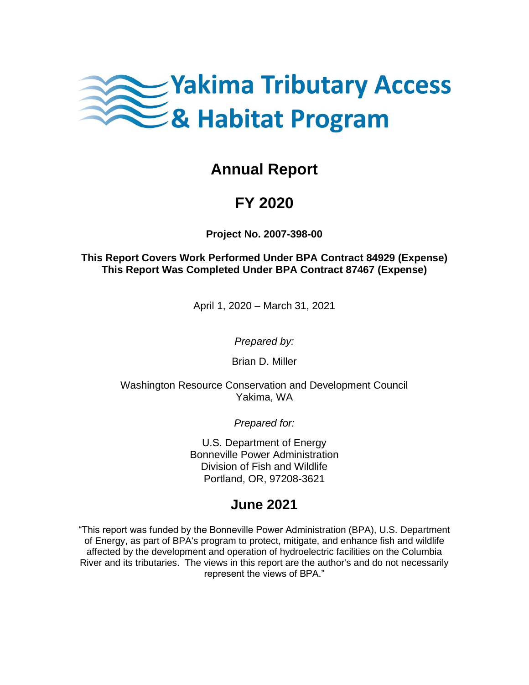

## **Annual Report**

# **FY 2020**

**Project No. 2007-398-00**

**This Report Covers Work Performed Under BPA Contract 84929 (Expense) This Report Was Completed Under BPA Contract 87467 (Expense)**

April 1, 2020 – March 31, 2021

*Prepared by:*

Brian D. Miller

Washington Resource Conservation and Development Council Yakima, WA

*Prepared for:*

U.S. Department of Energy Bonneville Power Administration Division of Fish and Wildlife Portland, OR, 97208-3621

### **June 2021**

"This report was funded by the Bonneville Power Administration (BPA), U.S. Department of Energy, as part of BPA's program to protect, mitigate, and enhance fish and wildlife affected by the development and operation of hydroelectric facilities on the Columbia River and its tributaries. The views in this report are the author's and do not necessarily represent the views of BPA."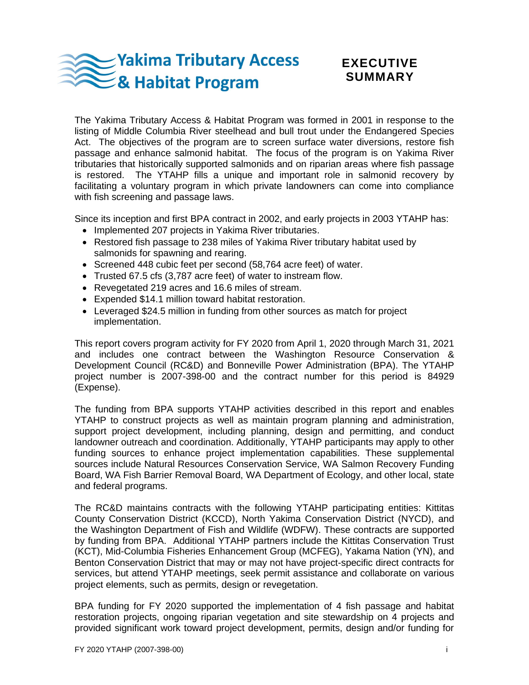

### **EXECUTIVE SUMMARY**

The Yakima Tributary Access & Habitat Program was formed in 2001 in response to the listing of Middle Columbia River steelhead and bull trout under the Endangered Species Act. The objectives of the program are to screen surface water diversions, restore fish passage and enhance salmonid habitat. The focus of the program is on Yakima River tributaries that historically supported salmonids and on riparian areas where fish passage is restored. The YTAHP fills a unique and important role in salmonid recovery by facilitating a voluntary program in which private landowners can come into compliance with fish screening and passage laws.

Since its inception and first BPA contract in 2002, and early projects in 2003 YTAHP has:

- Implemented 207 projects in Yakima River tributaries.
- Restored fish passage to 238 miles of Yakima River tributary habitat used by salmonids for spawning and rearing.
- Screened 448 cubic feet per second (58,764 acre feet) of water.
- Trusted 67.5 cfs (3,787 acre feet) of water to instream flow.
- Revegetated 219 acres and 16.6 miles of stream.
- Expended \$14.1 million toward habitat restoration.
- Leveraged \$24.5 million in funding from other sources as match for project implementation.

This report covers program activity for FY 2020 from April 1, 2020 through March 31, 2021 and includes one contract between the Washington Resource Conservation & Development Council (RC&D) and Bonneville Power Administration (BPA). The YTAHP project number is 2007-398-00 and the contract number for this period is 84929 (Expense).

The funding from BPA supports YTAHP activities described in this report and enables YTAHP to construct projects as well as maintain program planning and administration, support project development, including planning, design and permitting, and conduct landowner outreach and coordination. Additionally, YTAHP participants may apply to other funding sources to enhance project implementation capabilities. These supplemental sources include Natural Resources Conservation Service, WA Salmon Recovery Funding Board, WA Fish Barrier Removal Board, WA Department of Ecology, and other local, state and federal programs.

The RC&D maintains contracts with the following YTAHP participating entities: Kittitas County Conservation District (KCCD), North Yakima Conservation District (NYCD), and the Washington Department of Fish and Wildlife (WDFW). These contracts are supported by funding from BPA. Additional YTAHP partners include the Kittitas Conservation Trust (KCT), Mid-Columbia Fisheries Enhancement Group (MCFEG), Yakama Nation (YN), and Benton Conservation District that may or may not have project-specific direct contracts for services, but attend YTAHP meetings, seek permit assistance and collaborate on various project elements, such as permits, design or revegetation.

BPA funding for FY 2020 supported the implementation of 4 fish passage and habitat restoration projects, ongoing riparian vegetation and site stewardship on 4 projects and provided significant work toward project development, permits, design and/or funding for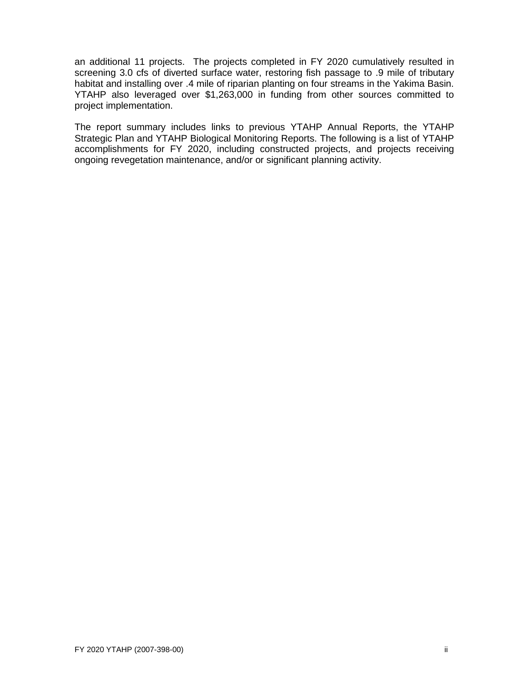an additional 11 projects. The projects completed in FY 2020 cumulatively resulted in screening 3.0 cfs of diverted surface water, restoring fish passage to .9 mile of tributary habitat and installing over .4 mile of riparian planting on four streams in the Yakima Basin. YTAHP also leveraged over \$1,263,000 in funding from other sources committed to project implementation.

The report summary includes links to previous YTAHP Annual Reports, the YTAHP Strategic Plan and YTAHP Biological Monitoring Reports. The following is a list of YTAHP accomplishments for FY 2020, including constructed projects, and projects receiving ongoing revegetation maintenance, and/or or significant planning activity.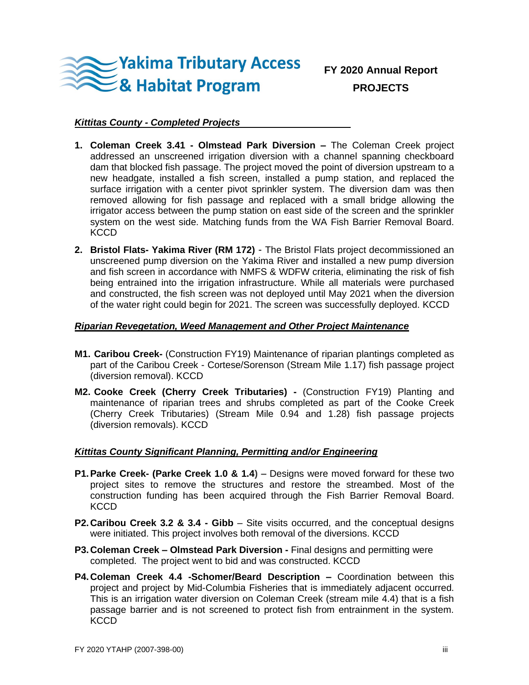

#### *Kittitas County - Completed Projects*

- **1. Coleman Creek 3.41 - Olmstead Park Diversion –** The Coleman Creek project addressed an unscreened irrigation diversion with a channel spanning checkboard dam that blocked fish passage. The project moved the point of diversion upstream to a new headgate, installed a fish screen, installed a pump station, and replaced the surface irrigation with a center pivot sprinkler system. The diversion dam was then removed allowing for fish passage and replaced with a small bridge allowing the irrigator access between the pump station on east side of the screen and the sprinkler system on the west side. Matching funds from the WA Fish Barrier Removal Board. **KCCD**
- **2. Bristol Flats- Yakima River (RM 172)** The Bristol Flats project decommissioned an unscreened pump diversion on the Yakima River and installed a new pump diversion and fish screen in accordance with NMFS & WDFW criteria, eliminating the risk of fish being entrained into the irrigation infrastructure. While all materials were purchased and constructed, the fish screen was not deployed until May 2021 when the diversion of the water right could begin for 2021. The screen was successfully deployed. KCCD

#### *Riparian Revegetation, Weed Management and Other Project Maintenance*

- **M1. Caribou Creek-** (Construction FY19) Maintenance of riparian plantings completed as part of the Caribou Creek - Cortese/Sorenson (Stream Mile 1.17) fish passage project (diversion removal). KCCD
- **M2. Cooke Creek (Cherry Creek Tributaries) -** (Construction FY19) Planting and maintenance of riparian trees and shrubs completed as part of the Cooke Creek (Cherry Creek Tributaries) (Stream Mile 0.94 and 1.28) fish passage projects (diversion removals). KCCD

### *Kittitas County Significant Planning, Permitting and/or Engineering*

- **P1.Parke Creek- (Parke Creek 1.0 & 1.4) –** Designs were moved forward for these two project sites to remove the structures and restore the streambed. Most of the construction funding has been acquired through the Fish Barrier Removal Board. **KCCD**
- **P2.Caribou Creek 3.2 & 3.4 - Gibb**  Site visits occurred, and the conceptual designs were initiated. This project involves both removal of the diversions. KCCD
- **P3.Coleman Creek – Olmstead Park Diversion -** Final designs and permitting were completed. The project went to bid and was constructed. KCCD
- **P4.Coleman Creek 4.4 -Schomer/Beard Description –** Coordination between this project and project by Mid-Columbia Fisheries that is immediately adjacent occurred. This is an irrigation water diversion on Coleman Creek (stream mile 4.4) that is a fish passage barrier and is not screened to protect fish from entrainment in the system. **KCCD**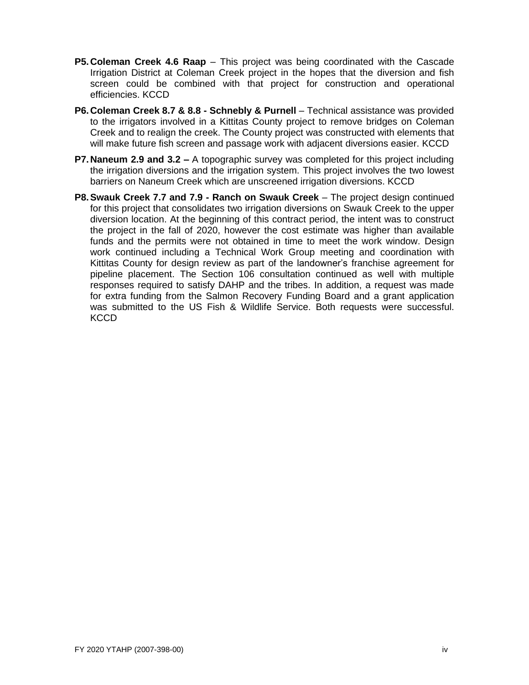- **P5.Coleman Creek 4.6 Raap** This project was being coordinated with the Cascade Irrigation District at Coleman Creek project in the hopes that the diversion and fish screen could be combined with that project for construction and operational efficiencies. KCCD
- **P6.Coleman Creek 8.7 & 8.8 - Schnebly & Purnell** Technical assistance was provided to the irrigators involved in a Kittitas County project to remove bridges on Coleman Creek and to realign the creek. The County project was constructed with elements that will make future fish screen and passage work with adjacent diversions easier. KCCD
- **P7.Naneum 2.9 and 3.2 –** A topographic survey was completed for this project including the irrigation diversions and the irrigation system. This project involves the two lowest barriers on Naneum Creek which are unscreened irrigation diversions. KCCD
- **P8.Swauk Creek 7.7 and 7.9 - Ranch on Swauk Creek** The project design continued for this project that consolidates two irrigation diversions on Swauk Creek to the upper diversion location. At the beginning of this contract period, the intent was to construct the project in the fall of 2020, however the cost estimate was higher than available funds and the permits were not obtained in time to meet the work window. Design work continued including a Technical Work Group meeting and coordination with Kittitas County for design review as part of the landowner's franchise agreement for pipeline placement. The Section 106 consultation continued as well with multiple responses required to satisfy DAHP and the tribes. In addition, a request was made for extra funding from the Salmon Recovery Funding Board and a grant application was submitted to the US Fish & Wildlife Service. Both requests were successful. **KCCD**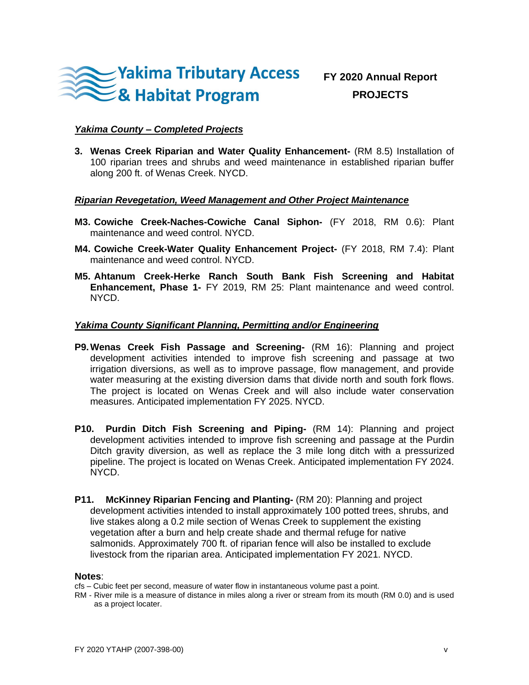

#### *Yakima County – Completed Projects*

**3. Wenas Creek Riparian and Water Quality Enhancement-** (RM 8.5) Installation of 100 riparian trees and shrubs and weed maintenance in established riparian buffer along 200 ft. of Wenas Creek. NYCD.

#### *Riparian Revegetation, Weed Management and Other Project Maintenance*

- **M3. Cowiche Creek-Naches-Cowiche Canal Siphon-** (FY 2018, RM 0.6): Plant maintenance and weed control. NYCD.
- **M4. Cowiche Creek-Water Quality Enhancement Project-** (FY 2018, RM 7.4): Plant maintenance and weed control. NYCD.
- **M5. Ahtanum Creek-Herke Ranch South Bank Fish Screening and Habitat Enhancement, Phase 1-** FY 2019, RM 25: Plant maintenance and weed control. NYCD.

#### *Yakima County Significant Planning, Permitting and/or Engineering*

- **P9.Wenas Creek Fish Passage and Screening-** (RM 16): Planning and project development activities intended to improve fish screening and passage at two irrigation diversions, as well as to improve passage, flow management, and provide water measuring at the existing diversion dams that divide north and south fork flows. The project is located on Wenas Creek and will also include water conservation measures. Anticipated implementation FY 2025. NYCD.
- **P10. Purdin Ditch Fish Screening and Piping-** (RM 14): Planning and project development activities intended to improve fish screening and passage at the Purdin Ditch gravity diversion, as well as replace the 3 mile long ditch with a pressurized pipeline. The project is located on Wenas Creek. Anticipated implementation FY 2024. NYCD.
- **P11. McKinney Riparian Fencing and Planting-** (RM 20): Planning and project development activities intended to install approximately 100 potted trees, shrubs, and live stakes along a 0.2 mile section of Wenas Creek to supplement the existing vegetation after a burn and help create shade and thermal refuge for native salmonids. Approximately 700 ft. of riparian fence will also be installed to exclude livestock from the riparian area. Anticipated implementation FY 2021. NYCD.

#### **Notes**:

- cfs Cubic feet per second, measure of water flow in instantaneous volume past a point.
- RM River mile is a measure of distance in miles along a river or stream from its mouth (RM 0.0) and is used as a project locater.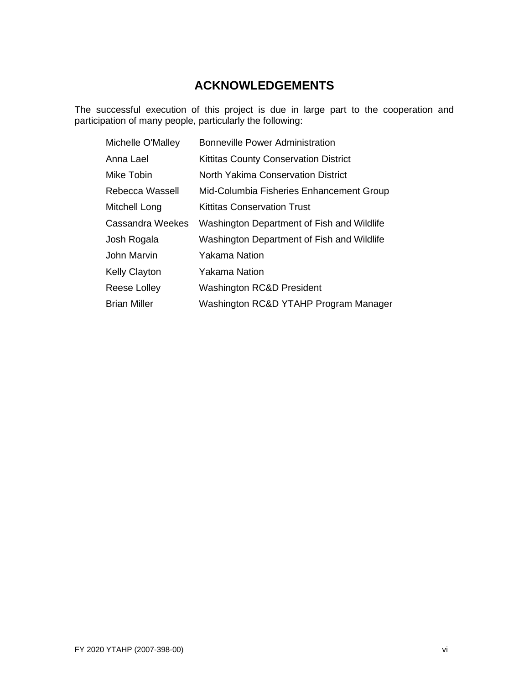### **ACKNOWLEDGEMENTS**

The successful execution of this project is due in large part to the cooperation and participation of many people, particularly the following:

| Michelle O'Malley       | <b>Bonneville Power Administration</b>       |
|-------------------------|----------------------------------------------|
| Anna Lael               | <b>Kittitas County Conservation District</b> |
| Mike Tobin              | North Yakima Conservation District           |
| Rebecca Wassell         | Mid-Columbia Fisheries Enhancement Group     |
| Mitchell Long           | <b>Kittitas Conservation Trust</b>           |
| <b>Cassandra Weekes</b> | Washington Department of Fish and Wildlife   |
| Josh Rogala             | Washington Department of Fish and Wildlife   |
| John Marvin             | Yakama Nation                                |
| <b>Kelly Clayton</b>    | Yakama Nation                                |
| Reese Lolley            | <b>Washington RC&amp;D President</b>         |
| <b>Brian Miller</b>     | Washington RC&D YTAHP Program Manager        |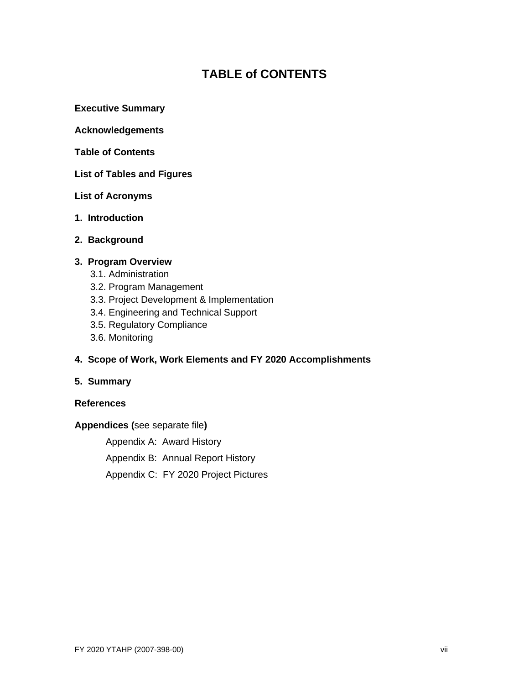### **TABLE of CONTENTS**

**Executive Summary** 

**Acknowledgements** 

**Table of Contents**

**List of Tables and Figures** 

**List of Acronyms** 

- **1. Introduction**
- **2. Background**

#### **3. Program Overview**

- 3.1. Administration
- 3.2. Program Management
- 3.3. Project Development & Implementation
- 3.4. Engineering and Technical Support
- 3.5. Regulatory Compliance
- 3.6. Monitoring

### **4. Scope of Work, Work Elements and FY 2020 Accomplishments**

**5. Summary** 

### **References**

#### **Appendices (**see separate file**)**

Appendix A: Award History

Appendix B: Annual Report History

Appendix C: FY 2020 Project Pictures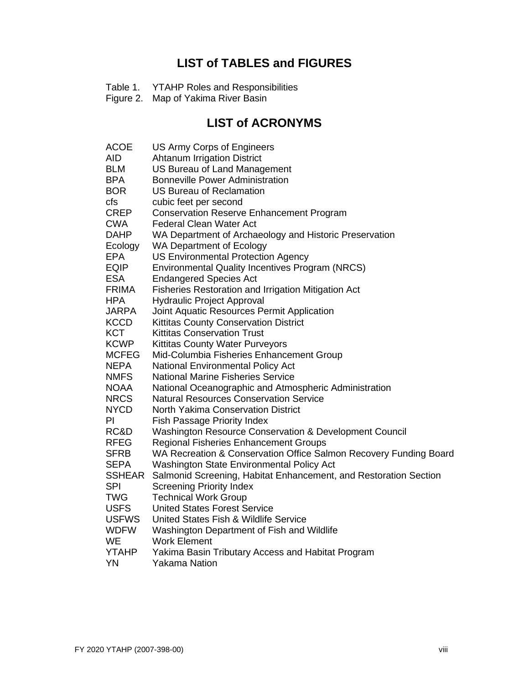### **LIST of TABLES and FIGURES**

- Table 1. YTAHP Roles and Responsibilities
- Figure 2. Map of Yakima River Basin

### **LIST of ACRONYMS**

| <b>ACOE</b>   | US Army Corps of Engineers                                        |
|---------------|-------------------------------------------------------------------|
| AID.          | <b>Ahtanum Irrigation District</b>                                |
| <b>BLM</b>    | US Bureau of Land Management                                      |
| <b>BPA</b>    | <b>Bonneville Power Administration</b>                            |
| <b>BOR</b>    | <b>US Bureau of Reclamation</b>                                   |
| cfs           | cubic feet per second                                             |
| <b>CREP</b>   | <b>Conservation Reserve Enhancement Program</b>                   |
| <b>CWA</b>    | <b>Federal Clean Water Act</b>                                    |
| <b>DAHP</b>   | WA Department of Archaeology and Historic Preservation            |
| Ecology       | WA Department of Ecology                                          |
| <b>EPA</b>    | <b>US Environmental Protection Agency</b>                         |
| <b>EQIP</b>   | Environmental Quality Incentives Program (NRCS)                   |
| <b>ESA</b>    | <b>Endangered Species Act</b>                                     |
| <b>FRIMA</b>  | Fisheries Restoration and Irrigation Mitigation Act               |
| <b>HPA</b>    | <b>Hydraulic Project Approval</b>                                 |
| <b>JARPA</b>  | Joint Aquatic Resources Permit Application                        |
| <b>KCCD</b>   | <b>Kittitas County Conservation District</b>                      |
| <b>KCT</b>    | <b>Kittitas Conservation Trust</b>                                |
| <b>KCWP</b>   | <b>Kittitas County Water Purveyors</b>                            |
| <b>MCFEG</b>  | Mid-Columbia Fisheries Enhancement Group                          |
| <b>NEPA</b>   | <b>National Environmental Policy Act</b>                          |
| <b>NMFS</b>   | <b>National Marine Fisheries Service</b>                          |
| <b>NOAA</b>   | National Oceanographic and Atmospheric Administration             |
| <b>NRCS</b>   | <b>Natural Resources Conservation Service</b>                     |
| <b>NYCD</b>   | <b>North Yakima Conservation District</b>                         |
| PI            | <b>Fish Passage Priority Index</b>                                |
| RC&D          | Washington Resource Conservation & Development Council            |
| <b>RFEG</b>   | Regional Fisheries Enhancement Groups                             |
| <b>SFRB</b>   | WA Recreation & Conservation Office Salmon Recovery Funding Board |
| <b>SEPA</b>   | <b>Washington State Environmental Policy Act</b>                  |
| <b>SSHEAR</b> | Salmonid Screening, Habitat Enhancement, and Restoration Section  |
| <b>SPI</b>    | <b>Screening Priority Index</b>                                   |
| <b>TWG</b>    | <b>Technical Work Group</b>                                       |
| <b>USFS</b>   | <b>United States Forest Service</b>                               |
| <b>USFWS</b>  | United States Fish & Wildlife Service                             |
| <b>WDFW</b>   | Washington Department of Fish and Wildlife                        |
| <b>WE</b>     | <b>Work Element</b>                                               |
| <b>YTAHP</b>  | Yakima Basin Tributary Access and Habitat Program                 |
| <b>YN</b>     | <b>Yakama Nation</b>                                              |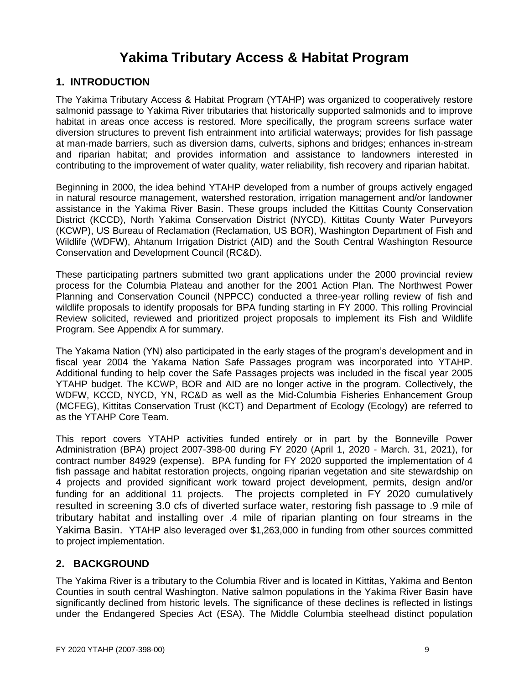### **Yakima Tributary Access & Habitat Program**

### **1. INTRODUCTION**

The Yakima Tributary Access & Habitat Program (YTAHP) was organized to cooperatively restore salmonid passage to Yakima River tributaries that historically supported salmonids and to improve habitat in areas once access is restored. More specifically, the program screens surface water diversion structures to prevent fish entrainment into artificial waterways; provides for fish passage at man-made barriers, such as diversion dams, culverts, siphons and bridges; enhances in-stream and riparian habitat; and provides information and assistance to landowners interested in contributing to the improvement of water quality, water reliability, fish recovery and riparian habitat.

Beginning in 2000, the idea behind YTAHP developed from a number of groups actively engaged in natural resource management, watershed restoration, irrigation management and/or landowner assistance in the Yakima River Basin. These groups included the Kittitas County Conservation District (KCCD), North Yakima Conservation District (NYCD), Kittitas County Water Purveyors (KCWP), US Bureau of Reclamation (Reclamation, US BOR), Washington Department of Fish and Wildlife (WDFW), Ahtanum Irrigation District (AID) and the South Central Washington Resource Conservation and Development Council (RC&D).

These participating partners submitted two grant applications under the 2000 provincial review process for the Columbia Plateau and another for the 2001 Action Plan. The Northwest Power Planning and Conservation Council (NPPCC) conducted a three-year rolling review of fish and wildlife proposals to identify proposals for BPA funding starting in FY 2000. This rolling Provincial Review solicited, reviewed and prioritized project proposals to implement its Fish and Wildlife Program. See Appendix A for summary.

The Yakama Nation (YN) also participated in the early stages of the program's development and in fiscal year 2004 the Yakama Nation Safe Passages program was incorporated into YTAHP. Additional funding to help cover the Safe Passages projects was included in the fiscal year 2005 YTAHP budget. The KCWP, BOR and AID are no longer active in the program. Collectively, the WDFW, KCCD, NYCD, YN, RC&D as well as the Mid-Columbia Fisheries Enhancement Group (MCFEG), Kittitas Conservation Trust (KCT) and Department of Ecology (Ecology) are referred to as the YTAHP Core Team.

This report covers YTAHP activities funded entirely or in part by the Bonneville Power Administration (BPA) project 2007-398-00 during FY 2020 (April 1, 2020 - March. 31, 2021), for contract number 84929 (expense). BPA funding for FY 2020 supported the implementation of 4 fish passage and habitat restoration projects, ongoing riparian vegetation and site stewardship on 4 projects and provided significant work toward project development, permits, design and/or funding for an additional 11 projects. The projects completed in FY 2020 cumulatively resulted in screening 3.0 cfs of diverted surface water, restoring fish passage to .9 mile of tributary habitat and installing over .4 mile of riparian planting on four streams in the Yakima Basin. YTAHP also leveraged over \$1,263,000 in funding from other sources committed to project implementation.

### **2. BACKGROUND**

The Yakima River is a tributary to the Columbia River and is located in Kittitas, Yakima and Benton Counties in south central Washington. Native salmon populations in the Yakima River Basin have significantly declined from historic levels. The significance of these declines is reflected in listings under the Endangered Species Act (ESA). The Middle Columbia steelhead distinct population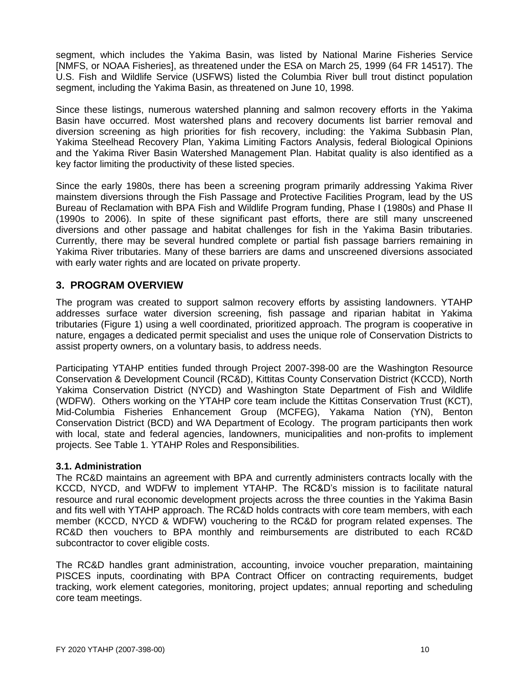segment, which includes the Yakima Basin, was listed by National Marine Fisheries Service [NMFS, or NOAA Fisheries], as threatened under the ESA on March 25, 1999 (64 FR 14517). The U.S. Fish and Wildlife Service (USFWS) listed the Columbia River bull trout distinct population segment, including the Yakima Basin, as threatened on June 10, 1998.

Since these listings, numerous watershed planning and salmon recovery efforts in the Yakima Basin have occurred. Most watershed plans and recovery documents list barrier removal and diversion screening as high priorities for fish recovery, including: the Yakima Subbasin Plan, Yakima Steelhead Recovery Plan, Yakima Limiting Factors Analysis, federal Biological Opinions and the Yakima River Basin Watershed Management Plan. Habitat quality is also identified as a key factor limiting the productivity of these listed species.

Since the early 1980s, there has been a screening program primarily addressing Yakima River mainstem diversions through the Fish Passage and Protective Facilities Program, lead by the US Bureau of Reclamation with BPA Fish and Wildlife Program funding, Phase I (1980s) and Phase II (1990s to 2006). In spite of these significant past efforts, there are still many unscreened diversions and other passage and habitat challenges for fish in the Yakima Basin tributaries. Currently, there may be several hundred complete or partial fish passage barriers remaining in Yakima River tributaries. Many of these barriers are dams and unscreened diversions associated with early water rights and are located on private property.

### **3. PROGRAM OVERVIEW**

The program was created to support salmon recovery efforts by assisting landowners. YTAHP addresses surface water diversion screening, fish passage and riparian habitat in Yakima tributaries (Figure 1) using a well coordinated, prioritized approach. The program is cooperative in nature, engages a dedicated permit specialist and uses the unique role of Conservation Districts to assist property owners, on a voluntary basis, to address needs.

Participating YTAHP entities funded through Project 2007-398-00 are the Washington Resource Conservation & Development Council (RC&D), Kittitas County Conservation District (KCCD), North Yakima Conservation District (NYCD) and Washington State Department of Fish and Wildlife (WDFW). Others working on the YTAHP core team include the Kittitas Conservation Trust (KCT), Mid-Columbia Fisheries Enhancement Group (MCFEG), Yakama Nation (YN), Benton Conservation District (BCD) and WA Department of Ecology. The program participants then work with local, state and federal agencies, landowners, municipalities and non-profits to implement projects. See Table 1. YTAHP Roles and Responsibilities.

### **3.1. Administration**

The RC&D maintains an agreement with BPA and currently administers contracts locally with the KCCD, NYCD, and WDFW to implement YTAHP. The RC&D's mission is to facilitate natural resource and rural economic development projects across the three counties in the Yakima Basin and fits well with YTAHP approach. The RC&D holds contracts with core team members, with each member (KCCD, NYCD & WDFW) vouchering to the RC&D for program related expenses. The RC&D then vouchers to BPA monthly and reimbursements are distributed to each RC&D subcontractor to cover eligible costs.

The RC&D handles grant administration, accounting, invoice voucher preparation, maintaining PISCES inputs, coordinating with BPA Contract Officer on contracting requirements, budget tracking, work element categories, monitoring, project updates; annual reporting and scheduling core team meetings.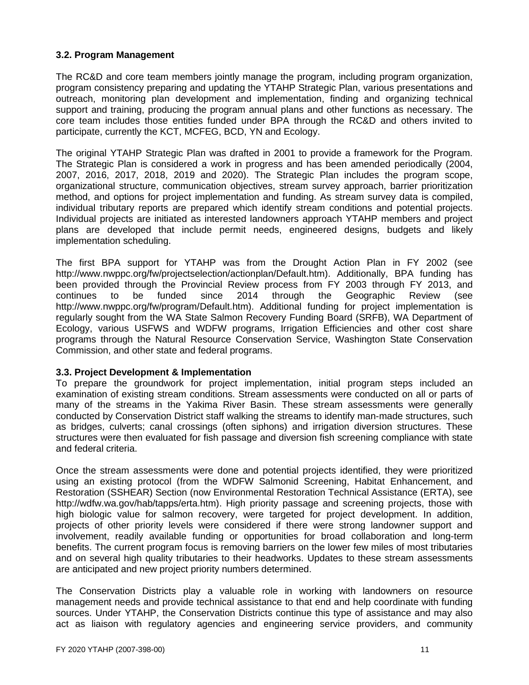### **3.2. Program Management**

The RC&D and core team members jointly manage the program, including program organization, program consistency preparing and updating the YTAHP Strategic Plan, various presentations and outreach, monitoring plan development and implementation, finding and organizing technical support and training, producing the program annual plans and other functions as necessary. The core team includes those entities funded under BPA through the RC&D and others invited to participate, currently the KCT, MCFEG, BCD, YN and Ecology.

The original YTAHP Strategic Plan was drafted in 2001 to provide a framework for the Program. The Strategic Plan is considered a work in progress and has been amended periodically (2004, 2007, 2016, 2017, 2018, 2019 and 2020). The Strategic Plan includes the program scope, organizational structure, communication objectives, stream survey approach, barrier prioritization method, and options for project implementation and funding. As stream survey data is compiled, individual tributary reports are prepared which identify stream conditions and potential projects. Individual projects are initiated as interested landowners approach YTAHP members and project plans are developed that include permit needs, engineered designs, budgets and likely implementation scheduling.

The first BPA support for YTAHP was from the Drought Action Plan in FY 2002 (see http://www.nwppc.org/fw/projectselection/actionplan/Default.htm). Additionally, BPA funding has been provided through the Provincial Review process from FY 2003 through FY 2013, and continues to be funded since 2014 through the Geographic Review (see [http://www.nwppc.org/fw/program/D](http://www.nwppc.org/fw/program/)efault.htm). Additional funding for project implementation is regularly sought from the WA State Salmon Recovery Funding Board (SRFB), WA Department of Ecology, various USFWS and WDFW programs, Irrigation Efficiencies and other cost share programs through the Natural Resource Conservation Service, Washington State Conservation Commission, and other state and federal programs.

### **3.3. Project Development & Implementation**

To prepare the groundwork for project implementation, initial program steps included an examination of existing stream conditions. Stream assessments were conducted on all or parts of many of the streams in the Yakima River Basin. These stream assessments were generally conducted by Conservation District staff walking the streams to identify man-made structures, such as bridges, culverts; canal crossings (often siphons) and irrigation diversion structures. These structures were then evaluated for fish passage and diversion fish screening compliance with state and federal criteria.

Once the stream assessments were done and potential projects identified, they were prioritized using an existing protocol (from the WDFW Salmonid Screening, Habitat Enhancement, and Restoration (SSHEAR) Section (now Environmental Restoration Technical Assistance (ERTA), see http://wdfw.wa.gov/hab/tapps/erta.htm). High priority passage and screening projects, those with high biologic value for salmon recovery, were targeted for project development. In addition, projects of other priority levels were considered if there were strong landowner support and involvement, readily available funding or opportunities for broad collaboration and long-term benefits. The current program focus is removing barriers on the lower few miles of most tributaries and on several high quality tributaries to their headworks. Updates to these stream assessments are anticipated and new project priority numbers determined.

The Conservation Districts play a valuable role in working with landowners on resource management needs and provide technical assistance to that end and help coordinate with funding sources. Under YTAHP, the Conservation Districts continue this type of assistance and may also act as liaison with regulatory agencies and engineering service providers, and community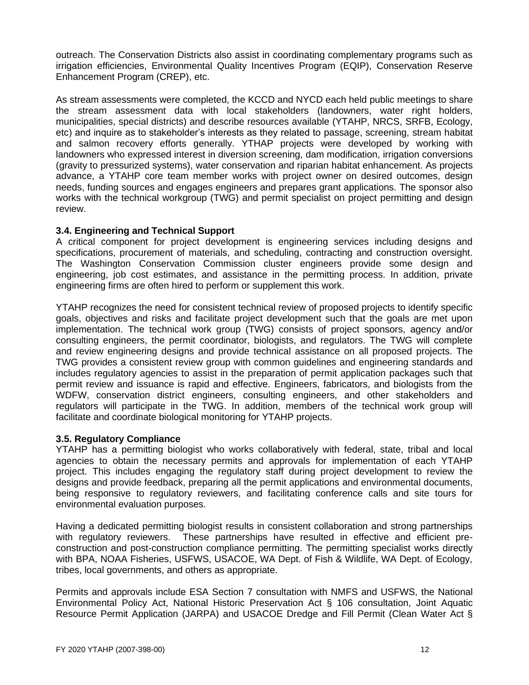outreach. The Conservation Districts also assist in coordinating complementary programs such as irrigation efficiencies, Environmental Quality Incentives Program (EQIP), Conservation Reserve Enhancement Program (CREP), etc.

As stream assessments were completed, the KCCD and NYCD each held public meetings to share the stream assessment data with local stakeholders (landowners, water right holders, municipalities, special districts) and describe resources available (YTAHP, NRCS, SRFB, Ecology, etc) and inquire as to stakeholder's interests as they related to passage, screening, stream habitat and salmon recovery efforts generally. YTHAP projects were developed by working with landowners who expressed interest in diversion screening, dam modification, irrigation conversions (gravity to pressurized systems), water conservation and riparian habitat enhancement. As projects advance, a YTAHP core team member works with project owner on desired outcomes, design needs, funding sources and engages engineers and prepares grant applications. The sponsor also works with the technical workgroup (TWG) and permit specialist on project permitting and design review.

### **3.4. Engineering and Technical Support**

A critical component for project development is engineering services including designs and specifications, procurement of materials, and scheduling, contracting and construction oversight. The Washington Conservation Commission cluster engineers provide some design and engineering, job cost estimates, and assistance in the permitting process. In addition, private engineering firms are often hired to perform or supplement this work.

YTAHP recognizes the need for consistent technical review of proposed projects to identify specific goals, objectives and risks and facilitate project development such that the goals are met upon implementation. The technical work group (TWG) consists of project sponsors, agency and/or consulting engineers, the permit coordinator, biologists, and regulators. The TWG will complete and review engineering designs and provide technical assistance on all proposed projects. The TWG provides a consistent review group with common guidelines and engineering standards and includes regulatory agencies to assist in the preparation of permit application packages such that permit review and issuance is rapid and effective. Engineers, fabricators, and biologists from the WDFW, conservation district engineers, consulting engineers, and other stakeholders and regulators will participate in the TWG. In addition, members of the technical work group will facilitate and coordinate biological monitoring for YTAHP projects.

### **3.5. Regulatory Compliance**

YTAHP has a permitting biologist who works collaboratively with federal, state, tribal and local agencies to obtain the necessary permits and approvals for implementation of each YTAHP project. This includes engaging the regulatory staff during project development to review the designs and provide feedback, preparing all the permit applications and environmental documents, being responsive to regulatory reviewers, and facilitating conference calls and site tours for environmental evaluation purposes.

Having a dedicated permitting biologist results in consistent collaboration and strong partnerships with regulatory reviewers. These partnerships have resulted in effective and efficient preconstruction and post-construction compliance permitting. The permitting specialist works directly with BPA, NOAA Fisheries, USFWS, USACOE, WA Dept. of Fish & Wildlife, WA Dept. of Ecology, tribes, local governments, and others as appropriate.

Permits and approvals include ESA Section 7 consultation with NMFS and USFWS, the National Environmental Policy Act, National Historic Preservation Act § 106 consultation, Joint Aquatic Resource Permit Application (JARPA) and USACOE Dredge and Fill Permit (Clean Water Act §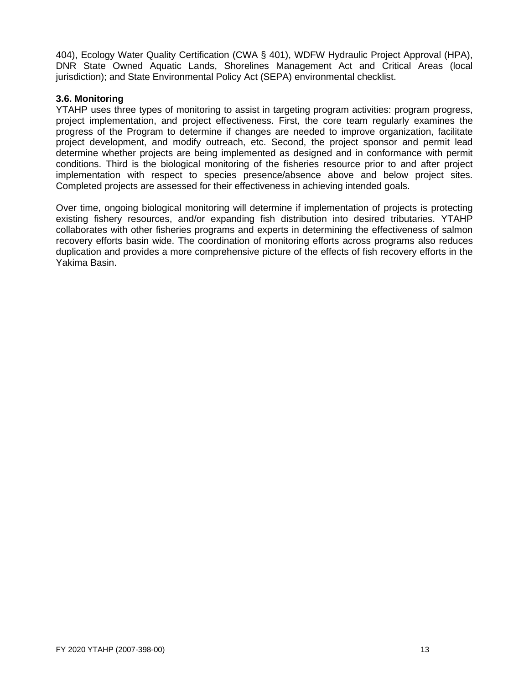404), Ecology Water Quality Certification (CWA § 401), WDFW Hydraulic Project Approval (HPA), DNR State Owned Aquatic Lands, Shorelines Management Act and Critical Areas (local jurisdiction); and State Environmental Policy Act (SEPA) environmental checklist.

### **3.6. Monitoring**

YTAHP uses three types of monitoring to assist in targeting program activities: program progress, project implementation, and project effectiveness. First, the core team regularly examines the progress of the Program to determine if changes are needed to improve organization, facilitate project development, and modify outreach, etc. Second, the project sponsor and permit lead determine whether projects are being implemented as designed and in conformance with permit conditions. Third is the biological monitoring of the fisheries resource prior to and after project implementation with respect to species presence/absence above and below project sites. Completed projects are assessed for their effectiveness in achieving intended goals.

Over time, ongoing biological monitoring will determine if implementation of projects is protecting existing fishery resources, and/or expanding fish distribution into desired tributaries. YTAHP collaborates with other fisheries programs and experts in determining the effectiveness of salmon recovery efforts basin wide. The coordination of monitoring efforts across programs also reduces duplication and provides a more comprehensive picture of the effects of fish recovery efforts in the Yakima Basin.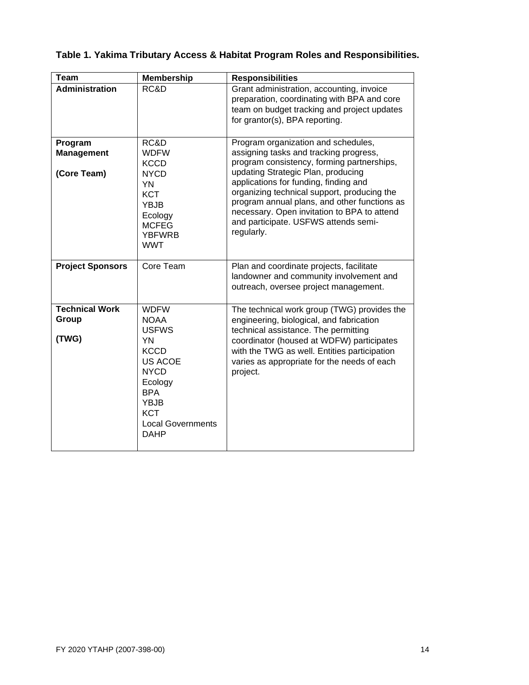### **Table 1. Yakima Tributary Access & Habitat Program Roles and Responsibilities.**

| Team                                        | <b>Membership</b>                                                                                                                                                                                        | <b>Responsibilities</b>                                                                                                                                                                                                                                                                                                                                                                                        |
|---------------------------------------------|----------------------------------------------------------------------------------------------------------------------------------------------------------------------------------------------------------|----------------------------------------------------------------------------------------------------------------------------------------------------------------------------------------------------------------------------------------------------------------------------------------------------------------------------------------------------------------------------------------------------------------|
| <b>Administration</b>                       | RC&D                                                                                                                                                                                                     | Grant administration, accounting, invoice<br>preparation, coordinating with BPA and core<br>team on budget tracking and project updates<br>for grantor(s), BPA reporting.                                                                                                                                                                                                                                      |
| Program<br><b>Management</b><br>(Core Team) | RC&D<br><b>WDFW</b><br><b>KCCD</b><br><b>NYCD</b><br><b>YN</b><br><b>KCT</b><br><b>YBJB</b><br>Ecology<br><b>MCFEG</b><br><b>YBFWRB</b><br><b>WWT</b>                                                    | Program organization and schedules,<br>assigning tasks and tracking progress,<br>program consistency, forming partnerships,<br>updating Strategic Plan, producing<br>applications for funding, finding and<br>organizing technical support, producing the<br>program annual plans, and other functions as<br>necessary. Open invitation to BPA to attend<br>and participate. USFWS attends semi-<br>regularly. |
| <b>Project Sponsors</b>                     | Core Team                                                                                                                                                                                                | Plan and coordinate projects, facilitate<br>landowner and community involvement and<br>outreach, oversee project management.                                                                                                                                                                                                                                                                                   |
| <b>Technical Work</b><br>Group<br>(TWG)     | <b>WDFW</b><br><b>NOAA</b><br><b>USFWS</b><br><b>YN</b><br><b>KCCD</b><br><b>US ACOE</b><br><b>NYCD</b><br>Ecology<br><b>BPA</b><br><b>YBJB</b><br><b>KCT</b><br><b>Local Governments</b><br><b>DAHP</b> | The technical work group (TWG) provides the<br>engineering, biological, and fabrication<br>technical assistance. The permitting<br>coordinator (housed at WDFW) participates<br>with the TWG as well. Entities participation<br>varies as appropriate for the needs of each<br>project.                                                                                                                        |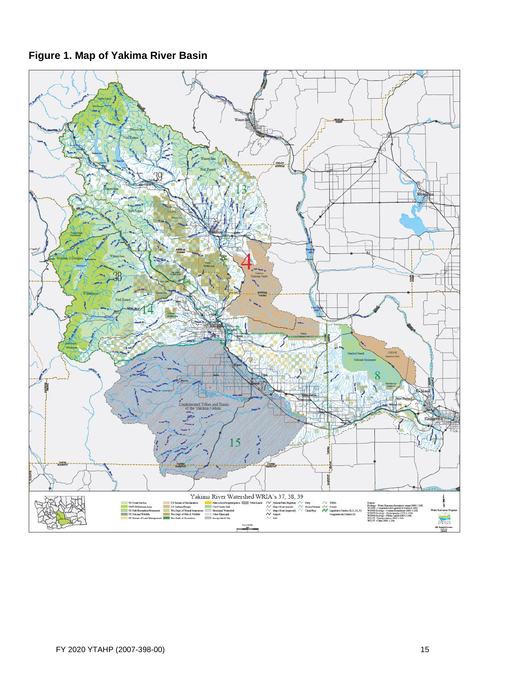### **Figure 1. Map of Yakima River Basin**

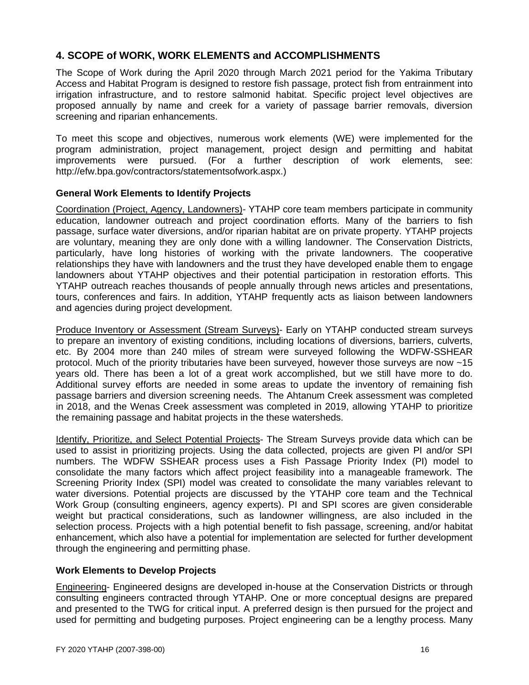### **4. SCOPE of WORK, WORK ELEMENTS and ACCOMPLISHMENTS**

The Scope of Work during the April 2020 through March 2021 period for the Yakima Tributary Access and Habitat Program is designed to restore fish passage, protect fish from entrainment into irrigation infrastructure, and to restore salmonid habitat. Specific project level objectives are proposed annually by name and creek for a variety of passage barrier removals, diversion screening and riparian enhancements.

To meet this scope and objectives, numerous work elements (WE) were implemented for the program administration, project management, project design and permitting and habitat improvements were pursued. (For a further description of work elements, see: http://efw.bpa.gov/contractors/statementsofwork.aspx.)

#### **General Work Elements to Identify Projects**

Coordination (Project, Agency, Landowners)- YTAHP core team members participate in community education, landowner outreach and project coordination efforts. Many of the barriers to fish passage, surface water diversions, and/or riparian habitat are on private property. YTAHP projects are voluntary, meaning they are only done with a willing landowner. The Conservation Districts, particularly, have long histories of working with the private landowners. The cooperative relationships they have with landowners and the trust they have developed enable them to engage landowners about YTAHP objectives and their potential participation in restoration efforts. This YTAHP outreach reaches thousands of people annually through news articles and presentations, tours, conferences and fairs. In addition, YTAHP frequently acts as liaison between landowners and agencies during project development.

Produce Inventory or Assessment (Stream Surveys)- Early on YTAHP conducted stream surveys to prepare an inventory of existing conditions, including locations of diversions, barriers, culverts, etc. By 2004 more than 240 miles of stream were surveyed following the WDFW-SSHEAR protocol. Much of the priority tributaries have been surveyed, however those surveys are now ~15 years old. There has been a lot of a great work accomplished, but we still have more to do. Additional survey efforts are needed in some areas to update the inventory of remaining fish passage barriers and diversion screening needs. The Ahtanum Creek assessment was completed in 2018, and the Wenas Creek assessment was completed in 2019, allowing YTAHP to prioritize the remaining passage and habitat projects in the these watersheds.

Identify, Prioritize, and Select Potential Projects- The Stream Surveys provide data which can be used to assist in prioritizing projects. Using the data collected, projects are given PI and/or SPI numbers. The WDFW SSHEAR process uses a Fish Passage Priority Index (PI) model to consolidate the many factors which affect project feasibility into a manageable framework. The Screening Priority Index (SPI) model was created to consolidate the many variables relevant to water diversions. Potential projects are discussed by the YTAHP core team and the Technical Work Group (consulting engineers, agency experts). PI and SPI scores are given considerable weight but practical considerations, such as landowner willingness, are also included in the selection process. Projects with a high potential benefit to fish passage, screening, and/or habitat enhancement, which also have a potential for implementation are selected for further development through the engineering and permitting phase.

### **Work Elements to Develop Projects**

Engineering- Engineered designs are developed in-house at the Conservation Districts or through consulting engineers contracted through YTAHP. One or more conceptual designs are prepared and presented to the TWG for critical input. A preferred design is then pursued for the project and used for permitting and budgeting purposes. Project engineering can be a lengthy process. Many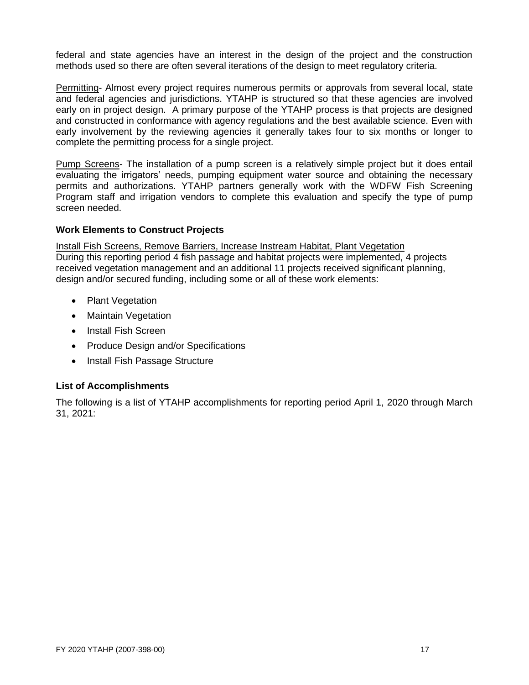federal and state agencies have an interest in the design of the project and the construction methods used so there are often several iterations of the design to meet regulatory criteria.

Permitting- Almost every project requires numerous permits or approvals from several local, state and federal agencies and jurisdictions. YTAHP is structured so that these agencies are involved early on in project design. A primary purpose of the YTAHP process is that projects are designed and constructed in conformance with agency regulations and the best available science. Even with early involvement by the reviewing agencies it generally takes four to six months or longer to complete the permitting process for a single project.

Pump Screens- The installation of a pump screen is a relatively simple project but it does entail evaluating the irrigators' needs, pumping equipment water source and obtaining the necessary permits and authorizations. YTAHP partners generally work with the WDFW Fish Screening Program staff and irrigation vendors to complete this evaluation and specify the type of pump screen needed.

### **Work Elements to Construct Projects**

Install Fish Screens, Remove Barriers, Increase Instream Habitat, Plant Vegetation During this reporting period 4 fish passage and habitat projects were implemented, 4 projects received vegetation management and an additional 11 projects received significant planning, design and/or secured funding, including some or all of these work elements:

- Plant Vegetation
- Maintain Vegetation
- Install Fish Screen
- Produce Design and/or Specifications
- Install Fish Passage Structure

### **List of Accomplishments**

The following is a list of YTAHP accomplishments for reporting period April 1, 2020 through March 31, 2021: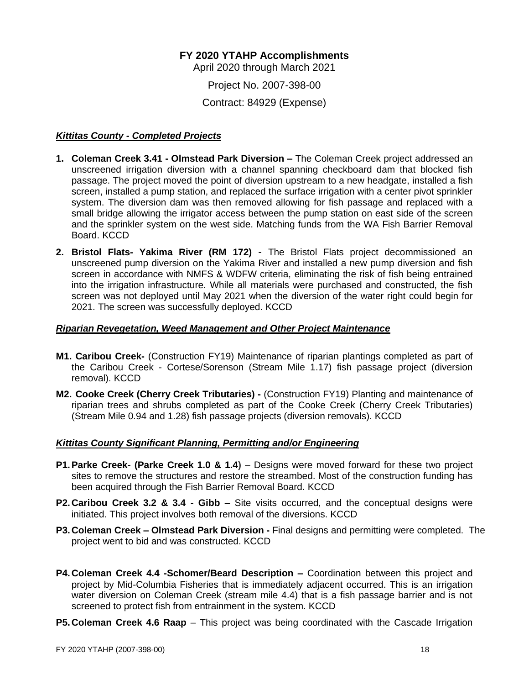### **FY 2020 YTAHP Accomplishments**

April 2020 through March 2021

Project No. 2007-398-00

Contract: 84929 (Expense)

### *Kittitas County - Completed Projects*

- **1. Coleman Creek 3.41 - Olmstead Park Diversion –** The Coleman Creek project addressed an unscreened irrigation diversion with a channel spanning checkboard dam that blocked fish passage. The project moved the point of diversion upstream to a new headgate, installed a fish screen, installed a pump station, and replaced the surface irrigation with a center pivot sprinkler system. The diversion dam was then removed allowing for fish passage and replaced with a small bridge allowing the irrigator access between the pump station on east side of the screen and the sprinkler system on the west side. Matching funds from the WA Fish Barrier Removal Board. KCCD
- **2. Bristol Flats- Yakima River (RM 172)** The Bristol Flats project decommissioned an unscreened pump diversion on the Yakima River and installed a new pump diversion and fish screen in accordance with NMFS & WDFW criteria, eliminating the risk of fish being entrained into the irrigation infrastructure. While all materials were purchased and constructed, the fish screen was not deployed until May 2021 when the diversion of the water right could begin for 2021. The screen was successfully deployed. KCCD

#### *Riparian Revegetation, Weed Management and Other Project Maintenance*

- **M1. Caribou Creek-** (Construction FY19) Maintenance of riparian plantings completed as part of the Caribou Creek - Cortese/Sorenson (Stream Mile 1.17) fish passage project (diversion removal). KCCD
- **M2. Cooke Creek (Cherry Creek Tributaries) -** (Construction FY19) Planting and maintenance of riparian trees and shrubs completed as part of the Cooke Creek (Cherry Creek Tributaries) (Stream Mile 0.94 and 1.28) fish passage projects (diversion removals). KCCD

### *Kittitas County Significant Planning, Permitting and/or Engineering*

- **P1.Parke Creek- (Parke Creek 1.0 & 1.4) –** Designs were moved forward for these two project sites to remove the structures and restore the streambed. Most of the construction funding has been acquired through the Fish Barrier Removal Board. KCCD
- **P2.Caribou Creek 3.2 & 3.4 - Gibb**  Site visits occurred, and the conceptual designs were initiated. This project involves both removal of the diversions. KCCD
- **P3.Coleman Creek – Olmstead Park Diversion -** Final designs and permitting were completed. The project went to bid and was constructed. KCCD
- **P4.Coleman Creek 4.4 -Schomer/Beard Description –** Coordination between this project and project by Mid-Columbia Fisheries that is immediately adjacent occurred. This is an irrigation water diversion on Coleman Creek (stream mile 4.4) that is a fish passage barrier and is not screened to protect fish from entrainment in the system. KCCD
- **P5. Coleman Creek 4.6 Raap** This project was being coordinated with the Cascade Irrigation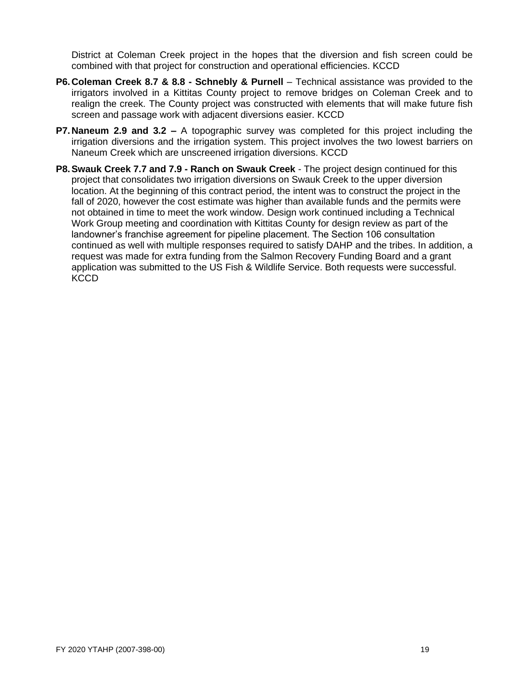District at Coleman Creek project in the hopes that the diversion and fish screen could be combined with that project for construction and operational efficiencies. KCCD

- **P6.Coleman Creek 8.7 & 8.8 - Schnebly & Purnell** Technical assistance was provided to the irrigators involved in a Kittitas County project to remove bridges on Coleman Creek and to realign the creek. The County project was constructed with elements that will make future fish screen and passage work with adjacent diversions easier. KCCD
- **P7.Naneum 2.9 and 3.2 –** A topographic survey was completed for this project including the irrigation diversions and the irrigation system. This project involves the two lowest barriers on Naneum Creek which are unscreened irrigation diversions. KCCD
- **P8.Swauk Creek 7.7 and 7.9 - Ranch on Swauk Creek** The project design continued for this project that consolidates two irrigation diversions on Swauk Creek to the upper diversion location. At the beginning of this contract period, the intent was to construct the project in the fall of 2020, however the cost estimate was higher than available funds and the permits were not obtained in time to meet the work window. Design work continued including a Technical Work Group meeting and coordination with Kittitas County for design review as part of the landowner's franchise agreement for pipeline placement. The Section 106 consultation continued as well with multiple responses required to satisfy DAHP and the tribes. In addition, a request was made for extra funding from the Salmon Recovery Funding Board and a grant application was submitted to the US Fish & Wildlife Service. Both requests were successful. **KCCD**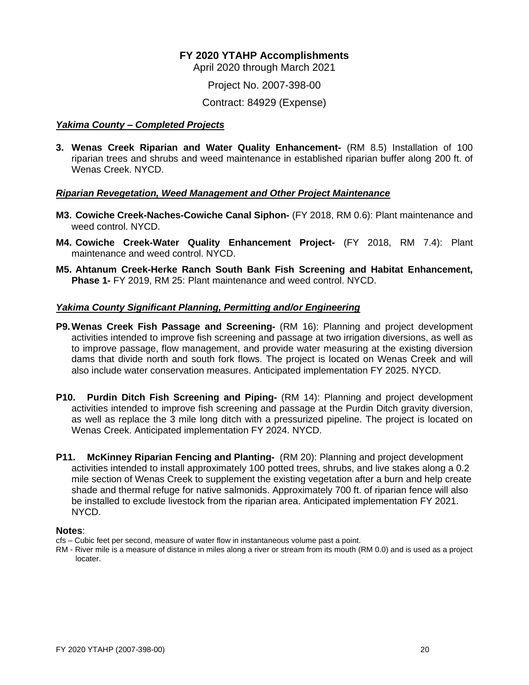### **FY 2020 YTAHP Accomplishments**

April 2020 through March 2021

Project No. 2007-398-00

Contract: 84929 (Expense)

#### *Yakima County – Completed Projects*

**3. Wenas Creek Riparian and Water Quality Enhancement-** (RM 8.5) Installation of 100 riparian trees and shrubs and weed maintenance in established riparian buffer along 200 ft. of Wenas Creek. NYCD.

#### *Riparian Revegetation, Weed Management and Other Project Maintenance*

- **M3. Cowiche Creek-Naches-Cowiche Canal Siphon-** (FY 2018, RM 0.6): Plant maintenance and weed control. NYCD.
- **M4. Cowiche Creek-Water Quality Enhancement Project-** (FY 2018, RM 7.4): Plant maintenance and weed control. NYCD.
- **M5. Ahtanum Creek-Herke Ranch South Bank Fish Screening and Habitat Enhancement, Phase 1-** FY 2019, RM 25: Plant maintenance and weed control. NYCD.

#### *Yakima County Significant Planning, Permitting and/or Engineering*

- **P9.Wenas Creek Fish Passage and Screening-** (RM 16): Planning and project development activities intended to improve fish screening and passage at two irrigation diversions, as well as to improve passage, flow management, and provide water measuring at the existing diversion dams that divide north and south fork flows. The project is located on Wenas Creek and will also include water conservation measures. Anticipated implementation FY 2025. NYCD.
- **P10. Purdin Ditch Fish Screening and Piping-** (RM 14): Planning and project development activities intended to improve fish screening and passage at the Purdin Ditch gravity diversion, as well as replace the 3 mile long ditch with a pressurized pipeline. The project is located on Wenas Creek. Anticipated implementation FY 2024. NYCD.
- **P11. McKinney Riparian Fencing and Planting-** (RM 20): Planning and project development activities intended to install approximately 100 potted trees, shrubs, and live stakes along a 0.2 mile section of Wenas Creek to supplement the existing vegetation after a burn and help create shade and thermal refuge for native salmonids. Approximately 700 ft. of riparian fence will also be installed to exclude livestock from the riparian area. Anticipated implementation FY 2021. NYCD.

#### **Notes**:

- cfs Cubic feet per second, measure of water flow in instantaneous volume past a point.
- RM River mile is a measure of distance in miles along a river or stream from its mouth (RM 0.0) and is used as a project locater.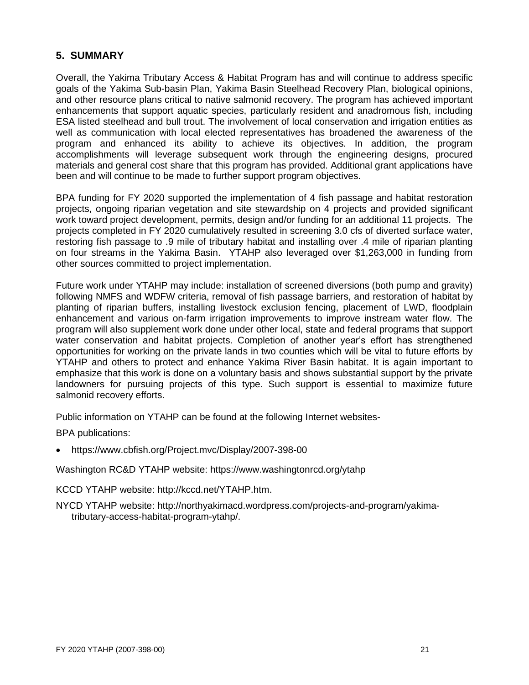### **5. SUMMARY**

Overall, the Yakima Tributary Access & Habitat Program has and will continue to address specific goals of the Yakima Sub-basin Plan, Yakima Basin Steelhead Recovery Plan, biological opinions, and other resource plans critical to native salmonid recovery. The program has achieved important enhancements that support aquatic species, particularly resident and anadromous fish, including ESA listed steelhead and bull trout. The involvement of local conservation and irrigation entities as well as communication with local elected representatives has broadened the awareness of the program and enhanced its ability to achieve its objectives. In addition, the program accomplishments will leverage subsequent work through the engineering designs, procured materials and general cost share that this program has provided. Additional grant applications have been and will continue to be made to further support program objectives.

BPA funding for FY 2020 supported the implementation of 4 fish passage and habitat restoration projects, ongoing riparian vegetation and site stewardship on 4 projects and provided significant work toward project development, permits, design and/or funding for an additional 11 projects. The projects completed in FY 2020 cumulatively resulted in screening 3.0 cfs of diverted surface water, restoring fish passage to .9 mile of tributary habitat and installing over .4 mile of riparian planting on four streams in the Yakima Basin. YTAHP also leveraged over \$1,263,000 in funding from other sources committed to project implementation.

Future work under YTAHP may include: installation of screened diversions (both pump and gravity) following NMFS and WDFW criteria, removal of fish passage barriers, and restoration of habitat by planting of riparian buffers, installing livestock exclusion fencing, placement of LWD, floodplain enhancement and various on-farm irrigation improvements to improve instream water flow. The program will also supplement work done under other local, state and federal programs that support water conservation and habitat projects. Completion of another year's effort has strengthened opportunities for working on the private lands in two counties which will be vital to future efforts by YTAHP and others to protect and enhance Yakima River Basin habitat. It is again important to emphasize that this work is done on a voluntary basis and shows substantial support by the private landowners for pursuing projects of this type. Such support is essential to maximize future salmonid recovery efforts.

Public information on YTAHP can be found at the following Internet websites-

BPA publications:

• https://www.cbfish.org/Project.mvc/Display/2007-398-00

Washington RC&D YTAHP website: <https://www.washingtonrcd.org/ytahp>

KCCD YTAHP website: [http://kccd.net/YTAHP.htm.](http://kccd.net/YTAHP.htm)

NYCD YTAHP website: [http://northyakimacd.wordpress.com/projects-and-program/yakima](http://northyakimacd.wordpress.com/projects-and-program/yakima-tributary-access-habitat-program-ytahp/)[tributary-access-habitat-program-ytahp/.](http://northyakimacd.wordpress.com/projects-and-program/yakima-tributary-access-habitat-program-ytahp/)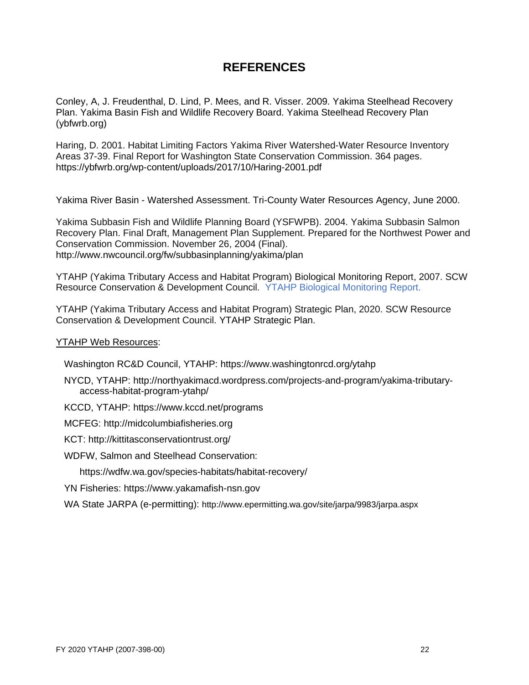### **REFERENCES**

Conley, A, J. Freudenthal, D. Lind, P. Mees, and R. Visser. 2009. Yakima Steelhead Recovery Plan. Yakima Basin Fish and Wildlife Recovery Board. [Yakima Steelhead Recovery Plan](https://ybfwrb.org/wp-content/uploads/2017/09/YakimaSteelheadPlan.pdf)  [\(ybfwrb.org\)](https://ybfwrb.org/wp-content/uploads/2017/09/YakimaSteelheadPlan.pdf)

Haring, D. 2001. Habitat Limiting Factors Yakima River Watershed-Water Resource Inventory Areas 37-39. Final Report for Washington State Conservation Commission. 364 pages. <https://ybfwrb.org/wp-content/uploads/2017/10/Haring-2001.pdf>

Yakima River Basin - Watershed Assessment. Tri-County Water Resources Agency, June 2000.

Yakima Subbasin Fish and Wildlife Planning Board (YSFWPB). 2004. Yakima Subbasin Salmon Recovery Plan. Final Draft, Management Plan Supplement. Prepared for the Northwest Power and Conservation Commission. November 26, 2004 (Final). <http://www.nwcouncil.org/fw/subbasinplanning/yakima/plan>

YTAHP (Yakima Tributary Access and Habitat Program) Biological Monitoring Report, 2007. SCW Resource Conservation & Development Council. [YTAHP Biological Monitoring Report.](https://51513f69-6c66-4758-acce-c6fd3edc9fba.filesusr.com/ugd/a17495_cf79a5461e834ea6953b29c34c4cae61.pdf)

YTAHP (Yakima Tributary Access and Habitat Program) Strategic Plan, 2020. SCW Resource Conservation & Development Council. [YTAHP Strategic Plan.](https://51513f69-6c66-4758-acce-c6fd3edc9fba.filesusr.com/ugd/a17495_6ea7e1c7b739442886f064c9a89360a3.pdf)

YTAHP Web Resources:

Washington RC&D Council, YTAHP: <https://www.washingtonrcd.org/ytahp>

- NYCD, YTAHP: http://northyakimacd.wordpress.com/projects-and-program/yakima-tributaryaccess-habitat-program-ytahp/
- KCCD, YTAHP: https://www.kccd.net/programs

MCFEG: http://midcolumbiafisheries.org

KCT: http://kittitasconservationtrust.org/

WDFW, Salmon and Steelhead Conservation:

https://wdfw.wa.gov/species-habitats/habitat-recovery/

YN Fisheries: https://www.yakamafish-nsn.gov

WA State JARPA (e-permitting): http://www.epermitting.wa.gov/site/jarpa/9983/jarpa.aspx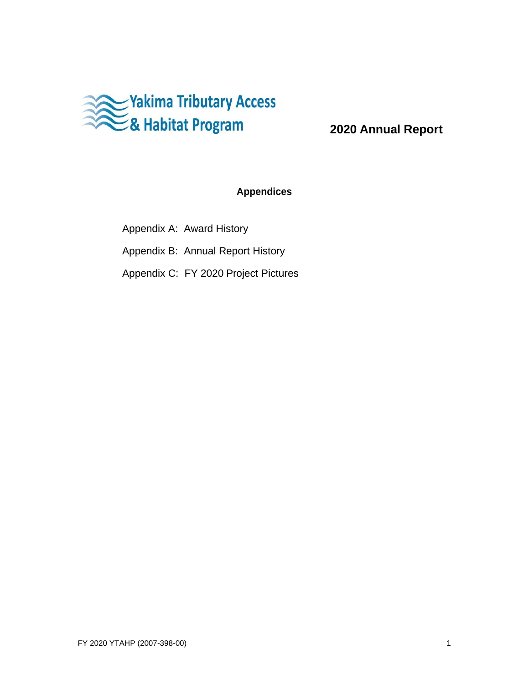

### **Appendices**

Appendix A: Award History

Appendix B: Annual Report History

Appendix C: FY 2020 Project Pictures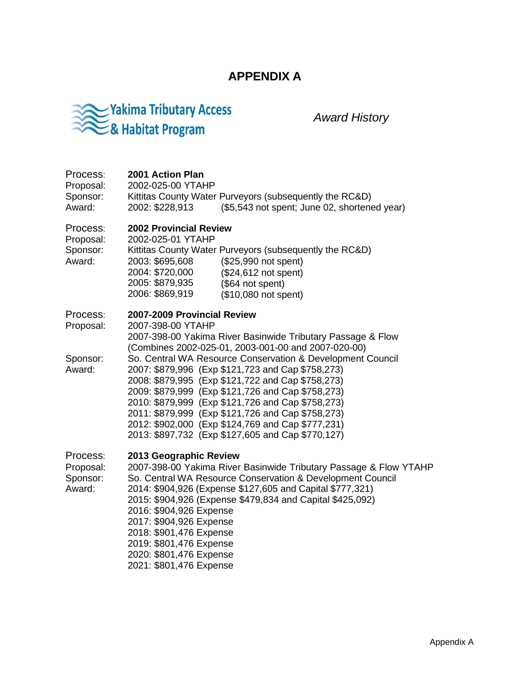### **APPENDIX A**



*Award History*

| Process:<br>Proposal:<br>Sponsor:<br>Award: | 2001 Action Plan<br>2002-025-00 YTAHP<br>Kittitas County Water Purveyors (subsequently the RC&D)<br>(\$5,543 not spent; June 02, shortened year)<br>2002: \$228,913                                                                                                                                                                                                                                                                                   |
|---------------------------------------------|-------------------------------------------------------------------------------------------------------------------------------------------------------------------------------------------------------------------------------------------------------------------------------------------------------------------------------------------------------------------------------------------------------------------------------------------------------|
| Process:<br>Proposal:<br>Sponsor:<br>Award: | <b>2002 Provincial Review</b><br>2002-025-01 YTAHP<br>Kittitas County Water Purveyors (subsequently the RC&D)<br>2003: \$695,608<br>(\$25,990 not spent)<br>2004: \$720,000<br>(\$24,612 not spent)<br>2005: \$879,935<br>(\$64 not spent)<br>2006: \$869,919<br>(\$10,080 not spent)                                                                                                                                                                 |
| Process:<br>Proposal:                       | 2007-2009 Provincial Review<br>2007-398-00 YTAHP<br>2007-398-00 Yakima River Basinwide Tributary Passage & Flow<br>(Combines 2002-025-01, 2003-001-00 and 2007-020-00)                                                                                                                                                                                                                                                                                |
| Sponsor:<br>Award:                          | So. Central WA Resource Conservation & Development Council<br>2007: \$879,996 (Exp \$121,723 and Cap \$758,273)<br>2008: \$879,995 (Exp \$121,722 and Cap \$758,273)<br>2009: \$879,999 (Exp \$121,726 and Cap \$758,273)<br>2010: \$879,999 (Exp \$121,726 and Cap \$758,273)<br>2011: \$879,999 (Exp \$121,726 and Cap \$758,273)<br>2012: \$902,000 (Exp \$124,769 and Cap \$777,231)<br>2013: \$897,732 (Exp \$127,605 and Cap \$770,127)         |
| Process:<br>Proposal:<br>Sponsor:<br>Award: | 2013 Geographic Review<br>2007-398-00 Yakima River Basinwide Tributary Passage & Flow YTAHP<br>So. Central WA Resource Conservation & Development Council<br>2014: \$904,926 (Expense \$127,605 and Capital \$777,321)<br>2015: \$904,926 (Expense \$479,834 and Capital \$425,092)<br>2016: \$904,926 Expense<br>2017: \$904,926 Expense<br>2018: \$901,476 Expense<br>2019: \$801,476 Expense<br>2020: \$801,476 Expense<br>2021: \$801,476 Expense |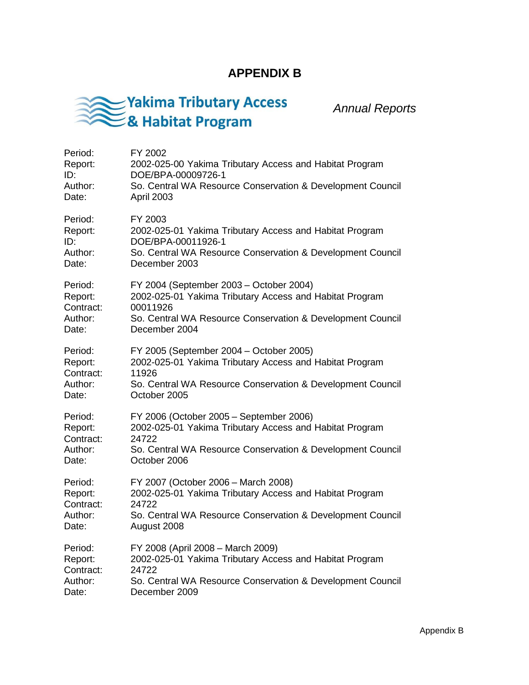### **APPENDIX B**



*Annual Reports*

| Period:   | FY 2002                                                    |
|-----------|------------------------------------------------------------|
| Report:   | 2002-025-00 Yakima Tributary Access and Habitat Program    |
| ID:       | DOE/BPA-00009726-1                                         |
| Author:   | So. Central WA Resource Conservation & Development Council |
| Date:     | April 2003                                                 |
| Period:   | FY 2003                                                    |
| Report:   | 2002-025-01 Yakima Tributary Access and Habitat Program    |
| ID:       | DOE/BPA-00011926-1                                         |
| Author:   | So. Central WA Resource Conservation & Development Council |
| Date:     | December 2003                                              |
| Period:   | FY 2004 (September 2003 – October 2004)                    |
| Report:   | 2002-025-01 Yakima Tributary Access and Habitat Program    |
| Contract: | 00011926                                                   |
| Author:   | So. Central WA Resource Conservation & Development Council |
| Date:     | December 2004                                              |
| Period:   | FY 2005 (September 2004 – October 2005)                    |
| Report:   | 2002-025-01 Yakima Tributary Access and Habitat Program    |
| Contract: | 11926                                                      |
| Author:   | So. Central WA Resource Conservation & Development Council |
| Date:     | October 2005                                               |
| Period:   | FY 2006 (October 2005 - September 2006)                    |
| Report:   | 2002-025-01 Yakima Tributary Access and Habitat Program    |
| Contract: | 24722                                                      |
| Author:   | So. Central WA Resource Conservation & Development Council |
| Date:     | October 2006                                               |
| Period:   | FY 2007 (October 2006 - March 2008)                        |
| Report:   | 2002-025-01 Yakima Tributary Access and Habitat Program    |
| Contract: | 24722                                                      |
| Author:   | So. Central WA Resource Conservation & Development Council |
| Date:     | August 2008                                                |
| Period:   | FY 2008 (April 2008 - March 2009)                          |
| Report:   | 2002-025-01 Yakima Tributary Access and Habitat Program    |
| Contract: | 24722                                                      |
| Author:   | So. Central WA Resource Conservation & Development Council |
| Date:     | December 2009                                              |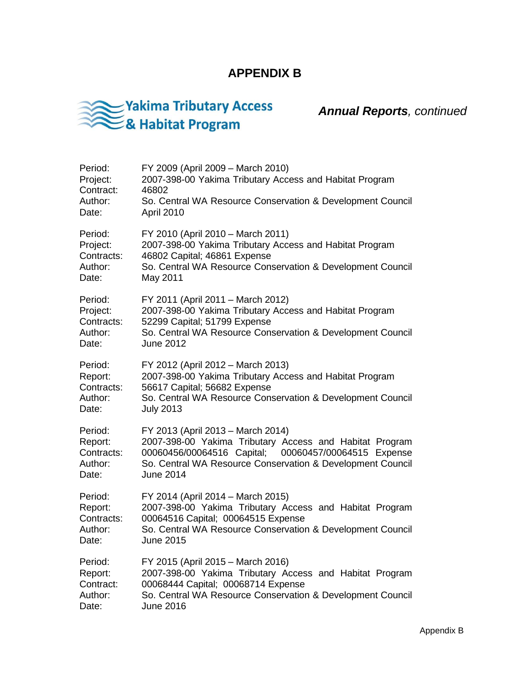### **APPENDIX B**



*Annual Reports, continued*

| Period:                                              | FY 2009 (April 2009 - March 2010)                                                                                                                                                                                                         |
|------------------------------------------------------|-------------------------------------------------------------------------------------------------------------------------------------------------------------------------------------------------------------------------------------------|
| Project:                                             | 2007-398-00 Yakima Tributary Access and Habitat Program                                                                                                                                                                                   |
| Contract:                                            | 46802                                                                                                                                                                                                                                     |
| Author:                                              | So. Central WA Resource Conservation & Development Council                                                                                                                                                                                |
| Date:                                                | April 2010                                                                                                                                                                                                                                |
| Period:                                              | FY 2010 (April 2010 - March 2011)                                                                                                                                                                                                         |
| Project:                                             | 2007-398-00 Yakima Tributary Access and Habitat Program                                                                                                                                                                                   |
| Contracts:                                           | 46802 Capital; 46861 Expense                                                                                                                                                                                                              |
| Author:                                              | So. Central WA Resource Conservation & Development Council                                                                                                                                                                                |
| Date:                                                | May 2011                                                                                                                                                                                                                                  |
| Period:                                              | FY 2011 (April 2011 - March 2012)                                                                                                                                                                                                         |
| Project:                                             | 2007-398-00 Yakima Tributary Access and Habitat Program                                                                                                                                                                                   |
| Contracts:                                           | 52299 Capital; 51799 Expense                                                                                                                                                                                                              |
| Author:                                              | So. Central WA Resource Conservation & Development Council                                                                                                                                                                                |
| Date:                                                | <b>June 2012</b>                                                                                                                                                                                                                          |
| Period:                                              | FY 2012 (April 2012 - March 2013)                                                                                                                                                                                                         |
| Report:                                              | 2007-398-00 Yakima Tributary Access and Habitat Program                                                                                                                                                                                   |
| Contracts:                                           | 56617 Capital; 56682 Expense                                                                                                                                                                                                              |
| Author:                                              | So. Central WA Resource Conservation & Development Council                                                                                                                                                                                |
| Date:                                                | <b>July 2013</b>                                                                                                                                                                                                                          |
| Period:<br>Report:<br>Contracts:<br>Author:<br>Date: | FY 2013 (April 2013 - March 2014)<br>2007-398-00 Yakima Tributary Access and Habitat Program<br>00060456/00064516 Capital;<br>00060457/00064515 Expense<br>So. Central WA Resource Conservation & Development Council<br><b>June 2014</b> |
| Period:                                              | FY 2014 (April 2014 - March 2015)                                                                                                                                                                                                         |
| Report:                                              | 2007-398-00 Yakima Tributary Access and Habitat Program                                                                                                                                                                                   |
| Contracts:                                           | 00064516 Capital; 00064515 Expense                                                                                                                                                                                                        |
| Author:                                              | So. Central WA Resource Conservation & Development Council                                                                                                                                                                                |
| Date:                                                | <b>June 2015</b>                                                                                                                                                                                                                          |
| Period:                                              | FY 2015 (April 2015 - March 2016)                                                                                                                                                                                                         |
| Report:                                              | 2007-398-00 Yakima Tributary Access and Habitat Program                                                                                                                                                                                   |
| Contract:                                            | 00068444 Capital; 00068714 Expense                                                                                                                                                                                                        |
| Author:                                              | So. Central WA Resource Conservation & Development Council                                                                                                                                                                                |
| Date:                                                | June 2016                                                                                                                                                                                                                                 |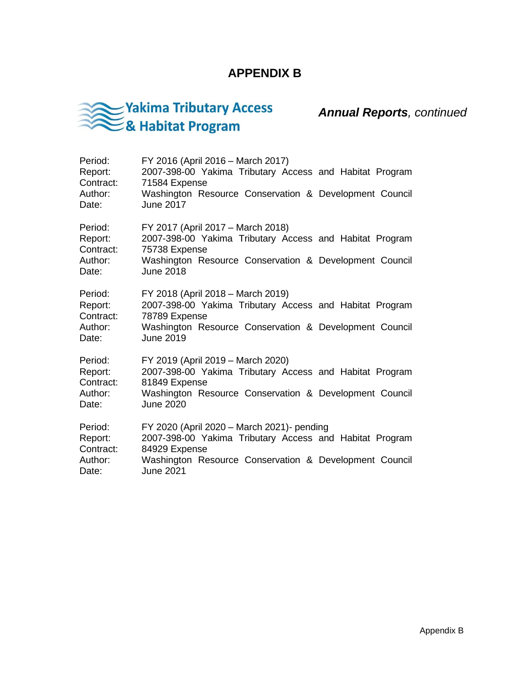### **APPENDIX B**



| Period:   | FY 2016 (April 2016 - March 2017)                       |
|-----------|---------------------------------------------------------|
| Report:   | 2007-398-00 Yakima Tributary Access and Habitat Program |
| Contract: | 71584 Expense                                           |
| Author:   | Washington Resource Conservation & Development Council  |
| Date:     | June 2017                                               |
| Period:   | FY 2017 (April 2017 – March 2018)                       |
| Report:   | 2007-398-00 Yakima Tributary Access and Habitat Program |
| Contract: | 75738 Expense                                           |
| Author:   | Washington Resource Conservation & Development Council  |
| Date:     | <b>June 2018</b>                                        |
| Period:   | FY 2018 (April 2018 – March 2019)                       |
| Report:   | 2007-398-00 Yakima Tributary Access and Habitat Program |
| Contract: | 78789 Expense                                           |
| Author:   | Washington Resource Conservation & Development Council  |
| Date:     | <b>June 2019</b>                                        |
| Period:   | FY 2019 (April 2019 – March 2020)                       |
| Report:   | 2007-398-00 Yakima Tributary Access and Habitat Program |
| Contract: | 81849 Expense                                           |
| Author:   | Washington Resource Conservation & Development Council  |
| Date:     | <b>June 2020</b>                                        |
| Period:   | FY 2020 (April 2020 - March 2021)- pending              |
| Report:   | 2007-398-00 Yakima Tributary Access and Habitat Program |
| Contract: | 84929 Expense                                           |
| Author:   | Washington Resource Conservation & Development Council  |
| Date:     | <b>June 2021</b>                                        |